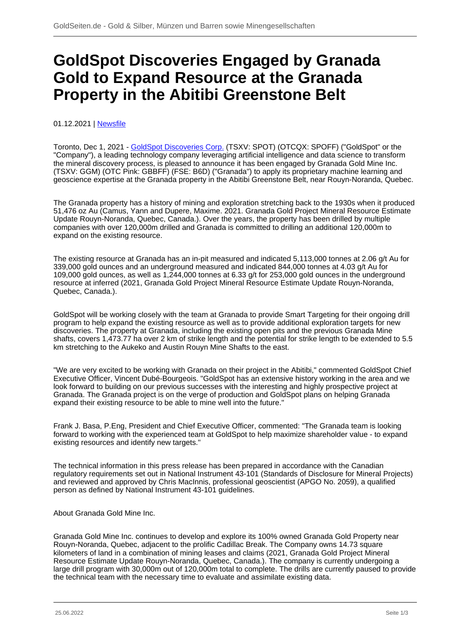## **GoldSpot Discoveries Engaged by Granada Gold to Expand Resource at the Granada Property in the Abitibi Greenstone Belt**

## 01.12.2021 | [Newsfile](/profil/273--Newsfile)

Toronto, Dec 1, 2021 - [GoldSpot Discoveries Corp.](/minen/4073--GoldSpot-Discoveries-Corp) (TSXV: SPOT) (OTCQX: SPOFF) ("GoldSpot" or the "Company"), a leading technology company leveraging artificial intelligence and data science to transform the mineral discovery process, is pleased to announce it has been engaged by Granada Gold Mine Inc. (TSXV: GGM) (OTC Pink: GBBFF) (FSE: B6D) ("Granada") to apply its proprietary machine learning and geoscience expertise at the Granada property in the Abitibi Greenstone Belt, near Rouyn-Noranda, Quebec.

The Granada property has a history of mining and exploration stretching back to the 1930s when it produced 51,476 oz Au (Camus, Yann and Dupere, Maxime. 2021. Granada Gold Project Mineral Resource Estimate Update Rouyn-Noranda, Quebec, Canada.). Over the years, the property has been drilled by multiple companies with over 120,000m drilled and Granada is committed to drilling an additional 120,000m to expand on the existing resource.

The existing resource at Granada has an in-pit measured and indicated 5,113,000 tonnes at 2.06 g/t Au for 339,000 gold ounces and an underground measured and indicated 844,000 tonnes at 4.03 g/t Au for 109,000 gold ounces, as well as 1,244,000 tonnes at 6.33 g/t for 253,000 gold ounces in the underground resource at inferred (2021, Granada Gold Project Mineral Resource Estimate Update Rouyn-Noranda, Quebec, Canada.).

GoldSpot will be working closely with the team at Granada to provide Smart Targeting for their ongoing drill program to help expand the existing resource as well as to provide additional exploration targets for new discoveries. The property at Granada, including the existing open pits and the previous Granada Mine shafts, covers 1,473.77 ha over 2 km of strike length and the potential for strike length to be extended to 5.5 km stretching to the Aukeko and Austin Rouyn Mine Shafts to the east.

"We are very excited to be working with Granada on their project in the Abitibi," commented GoldSpot Chief Executive Officer, Vincent Dubé-Bourgeois. "GoldSpot has an extensive history working in the area and we look forward to building on our previous successes with the interesting and highly prospective project at Granada. The Granada project is on the verge of production and GoldSpot plans on helping Granada expand their existing resource to be able to mine well into the future."

Frank J. Basa, P.Eng, President and Chief Executive Officer, commented: "The Granada team is looking forward to working with the experienced team at GoldSpot to help maximize shareholder value - to expand existing resources and identify new targets."

The technical information in this press release has been prepared in accordance with the Canadian regulatory requirements set out in National Instrument 43-101 (Standards of Disclosure for Mineral Projects) and reviewed and approved by Chris MacInnis, professional geoscientist (APGO No. 2059), a qualified person as defined by National Instrument 43-101 guidelines.

About Granada Gold Mine Inc.

Granada Gold Mine Inc. continues to develop and explore its 100% owned Granada Gold Property near Rouyn-Noranda, Quebec, adjacent to the prolific Cadillac Break. The Company owns 14.73 square kilometers of land in a combination of mining leases and claims (2021, Granada Gold Project Mineral Resource Estimate Update Rouyn-Noranda, Quebec, Canada.). The company is currently undergoing a large drill program with 30,000m out of 120,000m total to complete. The drills are currently paused to provide the technical team with the necessary time to evaluate and assimilate existing data.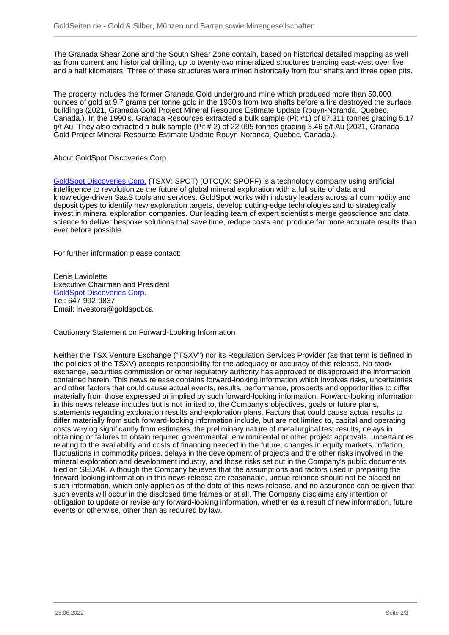The Granada Shear Zone and the South Shear Zone contain, based on historical detailed mapping as well as from current and historical drilling, up to twenty-two mineralized structures trending east-west over five and a half kilometers. Three of these structures were mined historically from four shafts and three open pits.

The property includes the former Granada Gold underground mine which produced more than 50,000 ounces of gold at 9.7 grams per tonne gold in the 1930's from two shafts before a fire destroyed the surface buildings (2021, Granada Gold Project Mineral Resource Estimate Update Rouyn-Noranda, Quebec, Canada.). In the 1990's, Granada Resources extracted a bulk sample (Pit #1) of 87,311 tonnes grading 5.17 g/t Au. They also extracted a bulk sample (Pit # 2) of 22,095 tonnes grading 3.46 g/t Au (2021, Granada Gold Project Mineral Resource Estimate Update Rouyn-Noranda, Quebec, Canada.).

About GoldSpot Discoveries Corp.

[GoldSpot Discoveries Corp.](/minen/4073--GoldSpot-Discoveries-Corp) (TSXV: SPOT) (OTCQX: SPOFF) is a technology company using artificial intelligence to revolutionize the future of global mineral exploration with a full suite of data and knowledge-driven SaaS tools and services. GoldSpot works with industry leaders across all commodity and deposit types to identify new exploration targets, develop cutting-edge technologies and to strategically invest in mineral exploration companies. Our leading team of expert scientist's merge geoscience and data science to deliver bespoke solutions that save time, reduce costs and produce far more accurate results than ever before possible.

For further information please contact:

Denis Laviolette Executive Chairman and President [GoldSpot Discoveries Corp.](/minen/4073--GoldSpot-Discoveries-Corp) Tel: 647-992-9837 Email: investors@goldspot.ca

Cautionary Statement on Forward-Looking Information

Neither the TSX Venture Exchange ("TSXV") nor its Regulation Services Provider (as that term is defined in the policies of the TSXV) accepts responsibility for the adequacy or accuracy of this release. No stock exchange, securities commission or other regulatory authority has approved or disapproved the information contained herein. This news release contains forward-looking information which involves risks, uncertainties and other factors that could cause actual events, results, performance, prospects and opportunities to differ materially from those expressed or implied by such forward-looking information. Forward-looking information in this news release includes but is not limited to, the Company's objectives, goals or future plans, statements regarding exploration results and exploration plans. Factors that could cause actual results to differ materially from such forward-looking information include, but are not limited to, capital and operating costs varying significantly from estimates, the preliminary nature of metallurgical test results, delays in obtaining or failures to obtain required governmental, environmental or other project approvals, uncertainties relating to the availability and costs of financing needed in the future, changes in equity markets, inflation, fluctuations in commodity prices, delays in the development of projects and the other risks involved in the mineral exploration and development industry, and those risks set out in the Company's public documents filed on SEDAR. Although the Company believes that the assumptions and factors used in preparing the forward-looking information in this news release are reasonable, undue reliance should not be placed on such information, which only applies as of the date of this news release, and no assurance can be given that such events will occur in the disclosed time frames or at all. The Company disclaims any intention or obligation to update or revise any forward-looking information, whether as a result of new information, future events or otherwise, other than as required by law.